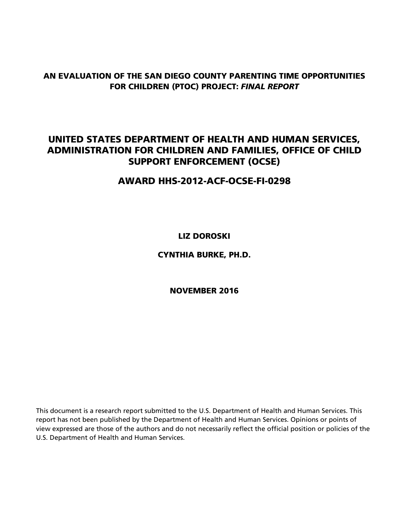## **AN EVALUATION OF THE SAN DIEGO COUNTY PARENTING TIME OPPORTUNITIES FOR CHILDREN (PTOC) PROJECT:** *FINAL REPORT*

## **UNITED STATES DEPARTMENT OF HEALTH AND HUMAN SERVICES, ADMINISTRATION FOR CHILDREN AND FAMILIES, OFFICE OF CHILD SUPPORT ENFORCEMENT (OCSE)**

**AWARD HHS-2012-ACF-OCSE-FI-0298** 

**LIZ DOROSKI** 

**CYNTHIA BURKE, PH.D.** 

**NOVEMBER 2016** 

This document is a research report submitted to the U.S. Department of Health and Human Services. This report has not been published by the Department of Health and Human Services. Opinions or points of view expressed are those of the authors and do not necessarily reflect the official position or policies of the U.S. Department of Health and Human Services.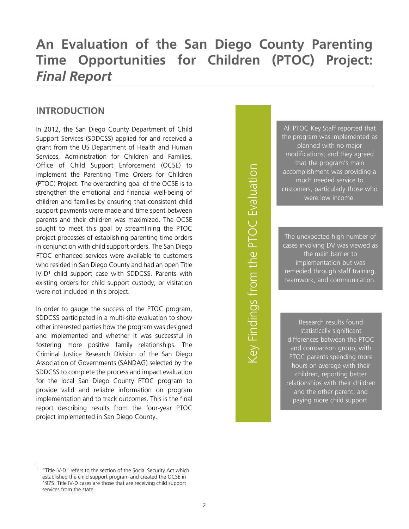# **An Evaluation of the San Diego County Parenting Time Opportunities for Children (PTOC) Project:**  *Final Report*

## **INTRODUCTION**

In 2012, the San Diego County Department of Child Support Services (SDDCSS) applied for and received a grant from the US Department of Health and Human Services, Administration for Children and Families, Office of Child Support Enforcement (OCSE) to implement the Parenting Time Orders for Children (PTOC) Project. The overarching goal of the OCSE is to strengthen the emotional and financial well-being of children and families by ensuring that consistent child support payments were made and time spent between parents and their children was maximized. The OCSE sought to meet this goal by streamlining the PTOC project processes of establishing parenting time orders in conjunction with child support orders. The San Diego PTOC enhanced services were available to customers who resided in San Diego County and had an open Title IV-D<sup>1</sup> child support case with SDDCSS. Parents with existing orders for child support custody, or visitation were not included in this project.

In order to gauge the success of the PTOC program, SDDCSS participated in a multi-site evaluation to show other interested parties how the program was designed and implemented and whether it was successful in fostering more positive family relationships. The Criminal Justice Research Division of the San Diego Association of Governments (SANDAG) selected by the SDDCSS to complete the process and impact evaluation for the local San Diego County PTOC program to provide valid and reliable information on program implementation and to track outcomes. This is the final report describing results from the four-year PTOC project implemented in San Diego County.

Key Findings from the PTOC Evaluation Key Findings from the PTOC Evaluation

All PTOC Key Staff reported that the program was implemented as planned with no major modifications; and they agreed that the program's main accomplishment was providing a much needed service to customers, particularly those who were low income.

The unexpected high number of cases involving DV was viewed as the main barrier to implementation but was remedied through staff training, teamwork, and communication.

Research results found statistically significant differences between the PTOC and comparison group, with PTOC parents spending more hours on average with their children, reporting better relationships with their children and the other parent, and paying more child support.

-

<sup>1</sup> "Title IV-D" refers to the section of the Social Security Act which established the child support program and created the OCSE in 1975. Title IV-D cases are those that are receiving child support services from the state.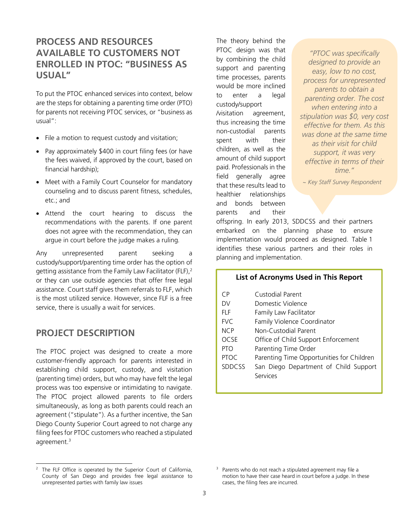## **PROCESS AND RESOURCES AVAILABLE TO CUSTOMERS NOT ENROLLED IN PTOC: "BUSINESS AS USUAL"**

To put the PTOC enhanced services into context, below are the steps for obtaining a parenting time order (PTO) for parents not receiving PTOC services, or "business as usual":

- File a motion to request custody and visitation;
- Pay approximately \$400 in court filing fees (or have the fees waived, if approved by the court, based on financial hardship);
- Meet with a Family Court Counselor for mandatory counseling and to discuss parent fitness, schedules, etc.; and
- Attend the court hearing to discuss the recommendations with the parents. If one parent does not agree with the recommendation, they can argue in court before the judge makes a ruling*.*

Any unrepresented parent seeking a custody/support/parenting time order has the option of getting assistance from the Family Law Facilitator (FLF),<sup>2</sup> or they can use outside agencies that offer free legal assistance. Court staff gives them referrals to FLF, which is the most utilized service. However, since FLF is a free service, there is usually a wait for services.

### **PROJECT DESCRIPTION**

-

The PTOC project was designed to create a more customer-friendly approach for parents interested in establishing child support, custody, and visitation (parenting time) orders, but who may have felt the legal process was too expensive or intimidating to navigate. The PTOC project allowed parents to file orders simultaneously, as long as both parents could reach an agreement ("stipulate"). As a further incentive, the San Diego County Superior Court agreed to not charge any filing fees for PTOC customers who reached a stipulated agreement.<sup>3</sup>

The theory behind the PTOC design was that by combining the child support and parenting time processes, parents would be more inclined to enter a legal custody/support /visitation agreement, thus increasing the time non-custodial parents spent with their children, as well as the amount of child support paid. Professionals in the field generally agree that these results lead to healthier relationships and bonds between parents and their

*"PTOC was specifically designed to provide an easy, low to no cost, process for unrepresented parents to obtain a parenting order. The cost when entering into a stipulation was \$0, very cost effective for them. As this was done at the same time as their visit for child support, it was very effective in terms of their time."*

*~ Key Staff Survey Respondent*

offspring. In early 2013, SDDCSS and their partners embarked on the planning phase to ensure implementation would proceed as designed. Table 1 identifies these various partners and their roles in planning and implementation.

#### **List of Acronyms Used in This Report**

| CΡ            | Custodial Parent                          |
|---------------|-------------------------------------------|
| DV.           | Domestic Violence                         |
| FI F          | Family Law Facilitator                    |
| <b>FVC</b>    | Family Violence Coordinator               |
| <b>NCP</b>    | Non-Custodial Parent                      |
| <b>OCSE</b>   | Office of Child Support Enforcement       |
| <b>PTO</b>    | Parenting Time Order                      |
| <b>PTOC</b>   | Parenting Time Opportunities for Children |
| <b>SDDCSS</b> | San Diego Department of Child Support     |
|               | Services                                  |
|               |                                           |

<sup>2</sup> The FLF Office is operated by the Superior Court of California, County of San Diego and provides free legal assistance to unrepresented parties with family law issues

<sup>&</sup>lt;sup>3</sup> Parents who do not reach a stipulated agreement may file a motion to have their case heard in court before a judge. In these cases, the filing fees are incurred.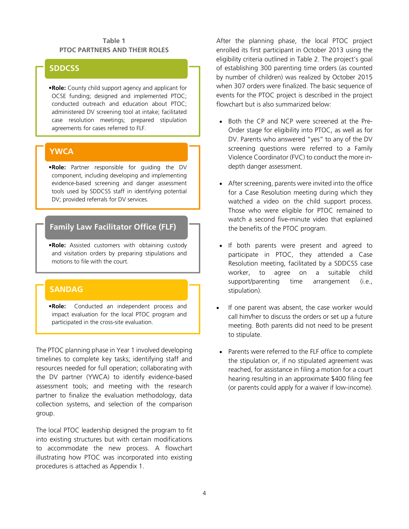#### **Table 1 PTOC PARTNERS AND THEIR ROLES**

### **SDDCSS**

•**Role:** County child support agency and applicant for OCSE funding; designed and implemented PTOC; conducted outreach and education about PTOC; administered DV screening tool at intake; facilitated case resolution meetings; prepared stipulation agreements for cases referred to FLF.

### **YWCA**

•**Role:** Partner responsible for guiding the DV component, including developing and implementing evidence-based screening and danger assessment tools used by SDDCSS staff in identifying potential DV; provided referrals for DV services.

## **Family Law Facilitator Office (FLF)**

•**Role:** Assisted customers with obtaining custody and visitation orders by preparing stipulations and motions to file with the court.

### **SANDAG**

•**Role:** Conducted an independent process and impact evaluation for the local PTOC program and participated in the cross-site evaluation.

The PTOC planning phase in Year 1 involved developing timelines to complete key tasks; identifying staff and resources needed for full operation; collaborating with the DV partner (YWCA) to identify evidence-based assessment tools; and meeting with the research partner to finalize the evaluation methodology, data collection systems, and selection of the comparison group.

The local PTOC leadership designed the program to fit into existing structures but with certain modifications to accommodate the new process. A flowchart illustrating how PTOC was incorporated into existing procedures is attached as Appendix 1.

After the planning phase, the local PTOC project enrolled its first participant in October 2013 using the eligibility criteria outlined in Table 2. The project's goal of establishing 300 parenting time orders (as counted by number of children) was realized by October 2015 when 307 orders were finalized. The basic sequence of events for the PTOC project is described in the project flowchart but is also summarized below:

- Both the CP and NCP were screened at the Pre-Order stage for eligibility into PTOC, as well as for DV. Parents who answered "yes" to any of the DV screening questions were referred to a Family Violence Coordinator (FVC) to conduct the more indepth danger assessment.
- After screening, parents were invited into the office for a Case Resolution meeting during which they watched a video on the child support process. Those who were eligible for PTOC remained to watch a second five-minute video that explained the benefits of the PTOC program.
- If both parents were present and agreed to participate in PTOC, they attended a Case Resolution meeting, facilitated by a SDDCSS case worker, to agree on a suitable child support/parenting time arrangement (i.e., stipulation).
- If one parent was absent, the case worker would call him/her to discuss the orders or set up a future meeting. Both parents did not need to be present to stipulate.
- Parents were referred to the FLF office to complete the stipulation or, if no stipulated agreement was reached, for assistance in filing a motion for a court hearing resulting in an approximate \$400 filing fee (or parents could apply for a waiver if low-income).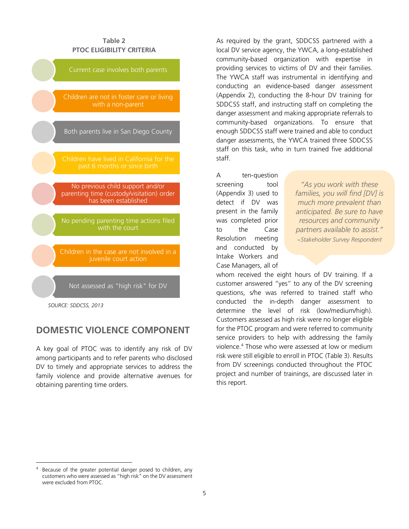| Table 2<br><b>PTOC ELIGIBILITY CRITERIA</b>                                                           |
|-------------------------------------------------------------------------------------------------------|
| Current case involves both parents                                                                    |
| Children are not in foster care or living<br>with a non-parent                                        |
| Both parents live in San Diego County                                                                 |
| Children have lived in California for the<br>past 6 months or since birth                             |
| No previous child support and/or<br>parenting time (custody/visitation) order<br>has been established |
| No pending parenting time actions filed<br>with the court                                             |
| Children in the case are not involved in a<br>juvenile court action                                   |
| Not assessed as "high risk" for DV                                                                    |

*SOURCE: SDDCSS, 2013* 

-

### **DOMESTIC VIOLENCE COMPONENT**

A key goal of PTOC was to identify any risk of DV among participants and to refer parents who disclosed DV to timely and appropriate services to address the family violence and provide alternative avenues for obtaining parenting time orders.

As required by the grant, SDDCSS partnered with a local DV service agency, the YWCA, a long-established community-based organization with expertise in providing services to victims of DV and their families. The YWCA staff was instrumental in identifying and conducting an evidence-based danger assessment (Appendix 2), conducting the 8-hour DV training for SDDCSS staff, and instructing staff on completing the danger assessment and making appropriate referrals to community-based organizations. To ensure that enough SDDCSS staff were trained and able to conduct danger assessments, the YWCA trained three SDDCSS staff on this task, who in turn trained five additional staff.

A ten-question screening tool (Appendix 3) used to detect if DV was present in the family was completed prior to the Case Resolution meeting and conducted by Intake Workers and Case Managers, all of

*"As you work with these families, you will find [DV] is much more prevalent than anticipated. Be sure to have resources and community partners available to assist." ~Stakeholder Survey Respondent*

whom received the eight hours of DV training. If a customer answered "yes" to any of the DV screening questions, s/he was referred to trained staff who conducted the in-depth danger assessment to determine the level of risk (low/medium/high). Customers assessed as high risk were no longer eligible for the PTOC program and were referred to community service providers to help with addressing the family violence.<sup>4</sup> Those who were assessed at low or medium risk were still eligible to enroll in PTOC (Table 3). Results from DV screenings conducted throughout the PTOC project and number of trainings, are discussed later in this report.

<sup>4</sup> Because of the greater potential danger posed to children, any customers who were assessed as "high risk" on the DV assessment were excluded from PTOC.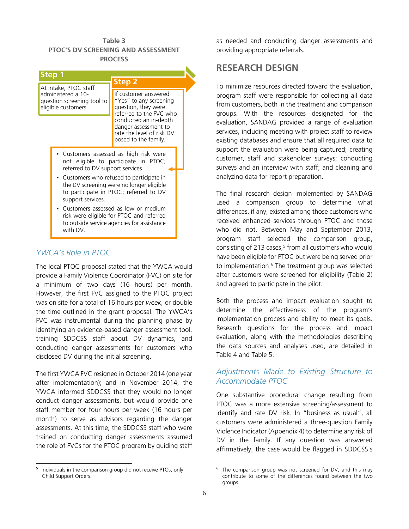#### **Table 3 PTOC'S DV SCREENING AND ASSESSMENT PROCESS**

| Step 1                                                                                              | <b>Step 2</b>                                                                                                                                                                                                                                                                                        |
|-----------------------------------------------------------------------------------------------------|------------------------------------------------------------------------------------------------------------------------------------------------------------------------------------------------------------------------------------------------------------------------------------------------------|
| At intake, PTOC staff<br>administered a 10-<br>question screening tool to<br>eligible customers.    | If customer answered<br>"Yes" to any screening<br>question, they were<br>referred to the FVC who<br>conducted an in-depth<br>danger assessment to<br>rate the level of risk DV<br>posed to the family.                                                                                               |
| referred to DV support services.<br>support services.<br>to outside service agencies for assistance | • Customers assessed as high risk were<br>not eligible to participate in PTOC;<br>• Customers who refused to participate in<br>the DV screening were no longer eligible<br>to participate in PTOC; referred to DV<br>Customers assessed as low or medium<br>risk were eligible for PTOC and referred |

### *YWCA's Role in PTOC*

The local PTOC proposal stated that the YWCA would provide a Family Violence Coordinator (FVC) on site for a minimum of two days (16 hours) per month. However, the first FVC assigned to the PTOC project was on site for a total of 16 hours per *week*, or double the time outlined in the grant proposal. The YWCA's FVC was instrumental during the planning phase by identifying an evidence-based danger assessment tool, training SDDCSS staff about DV dynamics, and conducting danger assessments for customers who disclosed DV during the initial screening.

The first YWCA FVC resigned in October 2014 (one year after implementation); and in November 2014, the YWCA informed SDDCSS that they would no longer conduct danger assessments, but would provide one staff member for four hours per week (16 hours per month) to serve as advisors regarding the danger assessments. At this time, the SDDCSS staff who were trained on conducting danger assessments assumed the role of FVCs for the PTOC program by guiding staff

5 Individuals in the comparison group did not receive PTOs, only Child Support Orders.

-

as needed and conducting danger assessments and providing appropriate referrals.

### **RESEARCH DESIGN**

To minimize resources directed toward the evaluation, program staff were responsible for collecting all data from customers, both in the treatment and comparison groups. With the resources designated for the evaluation, SANDAG provided a range of evaluation services, including meeting with project staff to review existing databases and ensure that all required data to support the evaluation were being captured; creating customer, staff and stakeholder surveys; conducting surveys and an interview with staff; and cleaning and analyzing data for report preparation.

The final research design implemented by SANDAG used a comparison group to determine what differences, if any, existed among those customers who received enhanced services through PTOC and those who did not. Between May and September 2013, program staff selected the comparison group, consisting of 213 cases,<sup>5</sup> from all customers who would have been eligible for PTOC but were being served prior to implementation.<sup>6</sup> The treatment group was selected after customers were screened for eligibility (Table 2) and agreed to participate in the pilot.

Both the process and impact evaluation sought to determine the effectiveness of the program's implementation process and ability to meet its goals. Research questions for the process and impact evaluation, along with the methodologies describing the data sources and analyses used, are detailed in Table 4 and Table 5.

### *Adjustments Made to Existing Structure to Accommodate PTOC*

One substantive procedural change resulting from PTOC was a more extensive screening/assessment to identify and rate DV risk. In "business as usual", all customers were administered a three-question Family Violence Indicator (Appendix 4) to determine any risk of DV in the family. If any question was answered affirmatively, the case would be flagged in SDDCSS's

<sup>&</sup>lt;sup>6</sup> The comparison group was not screened for DV, and this may contribute to some of the differences found between the two groups.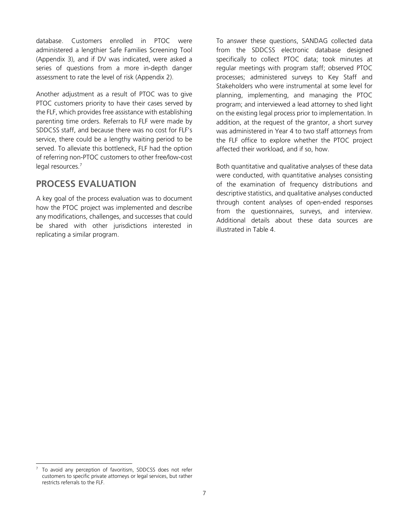database. Customers enrolled in PTOC were administered a lengthier Safe Families Screening Tool (Appendix 3), and if DV was indicated, were asked a series of questions from a more in-depth danger assessment to rate the level of risk (Appendix 2).

Another adjustment as a result of PTOC was to give PTOC customers priority to have their cases served by the FLF, which provides free assistance with establishing parenting time orders. Referrals to FLF were made by SDDCSS staff, and because there was no cost for FLF's service, there could be a lengthy waiting period to be served. To alleviate this bottleneck, FLF had the option of referring non-PTOC customers to other free/low-cost legal resources.<sup>7</sup>

### **PROCESS EVALUATION**

A key goal of the process evaluation was to document how the PTOC project was implemented and describe any modifications, challenges, and successes that could be shared with other jurisdictions interested in replicating a similar program.

To answer these questions, SANDAG collected data from the SDDCSS electronic database designed specifically to collect PTOC data; took minutes at regular meetings with program staff; observed PTOC processes; administered surveys to Key Staff and Stakeholders who were instrumental at some level for planning, implementing, and managing the PTOC program; and interviewed a lead attorney to shed light on the existing legal process prior to implementation. In addition, at the request of the grantor, a short survey was administered in Year 4 to two staff attorneys from the FLF office to explore whether the PTOC project affected their workload, and if so, how.

Both quantitative and qualitative analyses of these data were conducted, with quantitative analyses consisting of the examination of frequency distributions and descriptive statistics, and qualitative analyses conducted through content analyses of open-ended responses from the questionnaires, surveys, and interview. Additional details about these data sources are illustrated in Table 4.

-

<sup>7</sup> To avoid any perception of favoritism, SDDCSS does not refer customers to specific private attorneys or legal services, but rather restricts referrals to the FLF.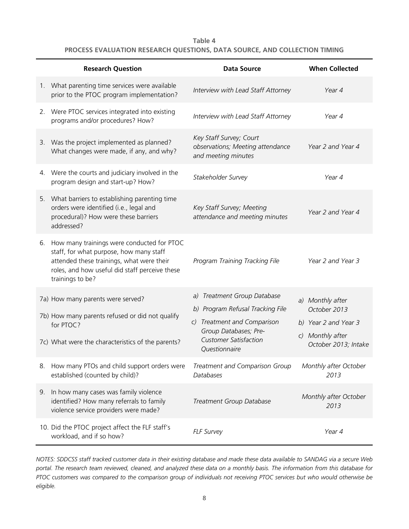#### **Table 4 PROCESS EVALUATION RESEARCH QUESTIONS, DATA SOURCE, AND COLLECTION TIMING**

|    | <b>Research Question</b>                                                                                                                                                                                    | <b>Data Source</b>                                                                                                                                                       | <b>When Collected</b>                                                                                |
|----|-------------------------------------------------------------------------------------------------------------------------------------------------------------------------------------------------------------|--------------------------------------------------------------------------------------------------------------------------------------------------------------------------|------------------------------------------------------------------------------------------------------|
|    | 1. What parenting time services were available<br>prior to the PTOC program implementation?                                                                                                                 | Interview with Lead Staff Attorney                                                                                                                                       | Year 4                                                                                               |
|    | 2. Were PTOC services integrated into existing<br>programs and/or procedures? How?                                                                                                                          | Interview with Lead Staff Attorney                                                                                                                                       | Year 4                                                                                               |
|    | 3. Was the project implemented as planned?<br>What changes were made, if any, and why?                                                                                                                      | Key Staff Survey; Court<br>observations; Meeting attendance<br>and meeting minutes                                                                                       | Year 2 and Year 4                                                                                    |
|    | 4. Were the courts and judiciary involved in the<br>program design and start-up? How?                                                                                                                       | Stakeholder Survey                                                                                                                                                       | Year 4                                                                                               |
|    | 5. What barriers to establishing parenting time<br>orders were identified (i.e., legal and<br>procedural)? How were these barriers<br>addressed?                                                            | Key Staff Survey; Meeting<br>attendance and meeting minutes                                                                                                              | Year 2 and Year 4                                                                                    |
|    | 6. How many trainings were conducted for PTOC<br>staff, for what purpose, how many staff<br>attended these trainings, what were their<br>roles, and how useful did staff perceive these<br>trainings to be? | Program Training Tracking File                                                                                                                                           | Year 2 and Year 3                                                                                    |
|    | 7a) How many parents were served?<br>7b) How many parents refused or did not qualify<br>for PTOC?<br>7c) What were the characteristics of the parents?                                                      | a) Treatment Group Database<br>b) Program Refusal Tracking File<br>c) Treatment and Comparison<br>Group Databases; Pre-<br><b>Customer Satisfaction</b><br>Questionnaire | a) Monthly after<br>October 2013<br>b) Year 2 and Year 3<br>c) Monthly after<br>October 2013; Intake |
| 8. | How many PTOs and child support orders were<br>established (counted by child)?                                                                                                                              | Treatment and Comparison Group<br>Databases                                                                                                                              | Monthly after October<br>2013                                                                        |
| 9. | In how many cases was family violence<br>identified? How many referrals to family<br>violence service providers were made?                                                                                  | Treatment Group Database                                                                                                                                                 | Monthly after October<br>2013                                                                        |
|    | 10. Did the PTOC project affect the FLF staff's<br>workload, and if so how?                                                                                                                                 | <b>FLF Survey</b>                                                                                                                                                        | Year 4                                                                                               |

*NOTES: SDDCSS staff tracked customer data in their existing database and made these data available to SANDAG via a secure Web portal. The research team reviewed, cleaned, and analyzed these data on a monthly basis. The information from this database for PTOC customers was compared to the comparison group of individuals not receiving PTOC services but who would otherwise be eligible.*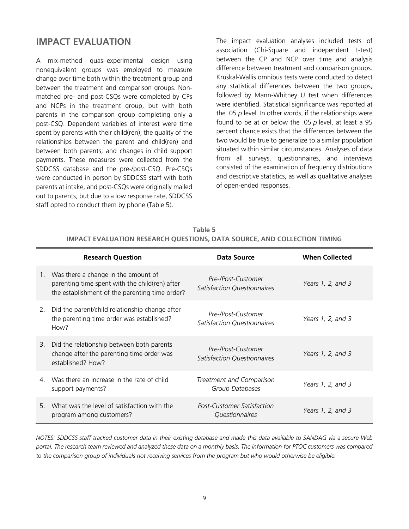## **IMPACT EVALUATION**

A mix-method quasi-experimental design using nonequivalent groups was employed to measure change over time both within the treatment group and between the treatment and comparison groups. Nonmatched pre- and post-CSQs were completed by CPs and NCPs in the treatment group, but with both parents in the comparison group completing only a post-CSQ. Dependent variables of interest were time spent by parents with their child(ren); the quality of the relationships between the parent and child(ren) and between both parents; and changes in child support payments. These measures were collected from the SDDCSS database and the pre-/post-CSQ. Pre-CSQs were conducted in person by SDDCSS staff with both parents at intake, and post-CSQs were originally mailed out to parents; but due to a low response rate, SDDCSS staff opted to conduct them by phone (Table 5).

The impact evaluation analyses included tests of association (Chi-Square and independent t-test) between the CP and NCP over time and analysis difference between treatment and comparison groups. Kruskal-Wallis omnibus tests were conducted to detect any statistical differences between the two groups, followed by Mann-Whitney U test when differences were identified. Statistical significance was reported at the .05 *p* level. In other words, if the relationships were found to be at or below the .05 *p* level, at least a 95 percent chance exists that the differences between the two would be true to generalize to a similar population situated within similar circumstances. Analyses of data from all surveys, questionnaires, and interviews consisted of the examination of frequency distributions and descriptive statistics, as well as qualitative analyses of open-ended responses.

|                                                                          | Table 5 |  |  |
|--------------------------------------------------------------------------|---------|--|--|
| IMPACT EVALUATION RESEARCH OUESTIONS, DATA SOURCE, AND COLLECTION TIMING |         |  |  |

|                | <b>Research Question</b>                                                                                                                | Data Source                                       | <b>When Collected</b> |
|----------------|-----------------------------------------------------------------------------------------------------------------------------------------|---------------------------------------------------|-----------------------|
| $1_{-}$        | Was there a change in the amount of<br>parenting time spent with the child(ren) after<br>the establishment of the parenting time order? | Pre-/Post-Customer<br>Satisfaction Questionnaires | Years 1, 2, and $3$   |
| 2.             | Did the parent/child relationship change after<br>the parenting time order was established?<br>How?                                     | Pre-/Post-Customer<br>Satisfaction Questionnaires | Years 1, 2, and 3     |
| 3.             | Did the relationship between both parents<br>change after the parenting time order was<br>established? How?                             | Pre-/Post-Customer<br>Satisfaction Questionnaires | Years 1, 2, and 3     |
| $\overline{4}$ | Was there an increase in the rate of child<br>support payments?                                                                         | Treatment and Comparison<br>Group Databases       | Years 1, 2, and 3     |
| 5.             | What was the level of satisfaction with the<br>program among customers?                                                                 | Post-Customer Satisfaction<br>Questionnaires      | Years 1, 2, and 3     |

*NOTES: SDDCSS staff tracked customer data in their existing database and made this data available to SANDAG via a secure Web portal. The research team reviewed and analyzed these data on a monthly basis. The information for PTOC customers was compared*  to the comparison group of individuals not receiving services from the program but who would otherwise be eligible.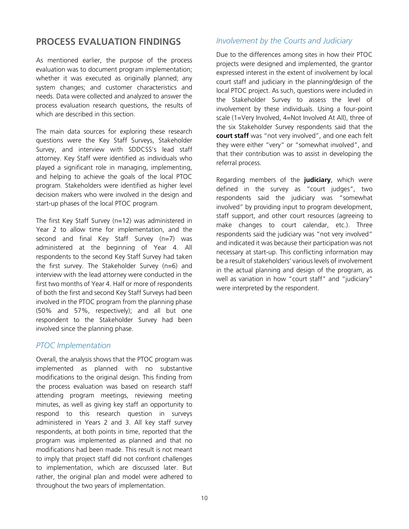## **PROCESS EVALUATION FINDINGS**

As mentioned earlier, the purpose of the process evaluation was to document program implementation; whether it was executed as originally planned; any system changes; and customer characteristics and needs. Data were collected and analyzed to answer the process evaluation research questions, the results of which are described in this section.

The main data sources for exploring these research questions were the Key Staff Surveys, Stakeholder Survey, and interview with SDDCSS's lead staff attorney. Key Staff were identified as individuals who played a significant role in managing, implementing, and helping to achieve the goals of the local PTOC program. Stakeholders were identified as higher level decision makers who were involved in the design and start-up phases of the local PTOC program.

The first Key Staff Survey (n=12) was administered in Year 2 to allow time for implementation, and the second and final Key Staff Survey (n=7) was administered at the beginning of Year 4. All respondents to the second Key Staff Survey had taken the first survey. The Stakeholder Survey (n=6) and interview with the lead attorney were conducted in the first two months of Year 4. Half or more of respondents of both the first and second Key Staff Surveys had been involved in the PTOC program from the planning phase (50% and 57%, respectively); and all but one respondent to the Stakeholder Survey had been involved since the planning phase.

#### *PTOC Implementation*

Overall, the analysis shows that the PTOC program was implemented as planned with no substantive modifications to the original design. This finding from the process evaluation was based on research staff attending program meetings, reviewing meeting minutes, as well as giving key staff an opportunity to respond to this research question in surveys administered in Years 2 and 3. All key staff survey respondents, at both points in time, reported that the program was implemented as planned and that no modifications had been made. This result is not meant to imply that project staff did not confront challenges to implementation, which are discussed later. But rather, the original plan and model were adhered to throughout the two years of implementation.

### *Involvement by the Courts and Judiciary*

Due to the differences among sites in how their PTOC projects were designed and implemented, the grantor expressed interest in the extent of involvement by local court staff and judiciary in the planning/design of the local PTOC project. As such, questions were included in the Stakeholder Survey to assess the level of involvement by these individuals. Using a four-point scale (1=Very Involved, 4=Not Involved At All), three of the six Stakeholder Survey respondents said that the **court staff** was "not very involved", and one each felt they were either "very" or "somewhat involved", and that their contribution was to assist in developing the referral process.

Regarding members of the **judiciary**, which were defined in the survey as "court judges", two respondents said the judiciary was "somewhat involved" by providing input to program development, staff support, and other court resources (agreeing to make changes to court calendar, etc.). Three respondents said the judiciary was "not very involved" and indicated it was because their participation was not necessary at start-up. This conflicting information may be a result of stakeholders' various levels of involvement in the actual planning and design of the program, as well as variation in how "court staff" and "judiciary" were interpreted by the respondent.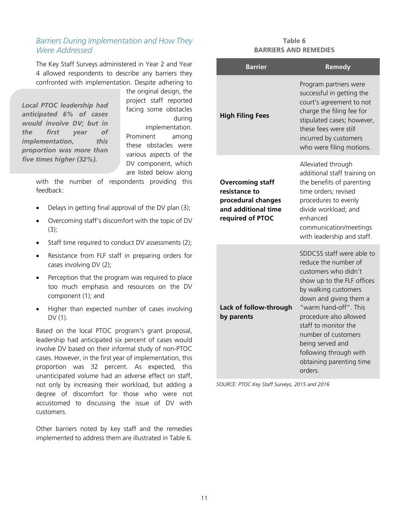#### *Barriers During Implementation and How They Were Addressed*

The Key Staff Surveys administered in Year 2 and Year 4 allowed respondents to describe any barriers they confronted with implementation. Despite adhering to

*Local PTOC leadership had anticipated 6% of cases would involve DV; but in the first year of implementation, this proportion was more than five times higher (32%).*

the original design, the project staff reported facing some obstacles during

implementation. Prominent among these obstacles were various aspects of the DV component, which are listed below along

with the number of respondents providing this feedback:

- Delays in getting final approval of the DV plan (3);
- Overcoming staff's discomfort with the topic of DV  $(3)$ ;
- Staff time required to conduct DV assessments (2);
- Resistance from FLF staff in preparing orders for cases involving DV (2);
- Perception that the program was required to place too much emphasis and resources on the DV component (1); and
- Higher than expected number of cases involving DV (1).

Based on the local PTOC program's grant proposal, leadership had anticipated six percent of cases would involve DV based on their informal study of non-PTOC cases. However, in the first year of implementation, this proportion was 32 percent. As expected, this unanticipated volume had an adverse effect on staff, not only by increasing their workload, but adding a degree of discomfort for those who were not accustomed to discussing the issue of DV with customers.

Other barriers noted by key staff and the remedies implemented to address them are illustrated in Table 6.

#### **Table 6 BARRIERS AND REMEDIES**

| <b>Barrier</b>                                                                                            | <b>Remedy</b>                                                                                                                                                                                                                                                                                                                                   |
|-----------------------------------------------------------------------------------------------------------|-------------------------------------------------------------------------------------------------------------------------------------------------------------------------------------------------------------------------------------------------------------------------------------------------------------------------------------------------|
| <b>High Filing Fees</b>                                                                                   | Program partners were<br>successful in getting the<br>court's agreement to not<br>charge the filing fee for<br>stipulated cases; however,<br>these fees were still<br>incurred by customers<br>who were filing motions.                                                                                                                         |
| <b>Overcoming staff</b><br>resistance to<br>procedural changes<br>and additional time<br>required of PTOC | Alleviated through<br>additional staff training on<br>the benefits of parenting<br>time orders; revised<br>procedures to evenly<br>divide workload; and<br>enhanced<br>communication/meetings<br>with leadership and staff.                                                                                                                     |
| Lack of follow-through<br>by parents                                                                      | SDDCSS staff were able to<br>reduce the number of<br>customers who didn't<br>show up to the FLF offices<br>by walking customers<br>down and giving them a<br>"warm hand-off". This<br>procedure also allowed<br>staff to monitor the<br>number of customers<br>being served and<br>following through with<br>obtaining parenting time<br>orders |

*SOURCE: PTOC Key Staff Surveys, 2015 and 2016*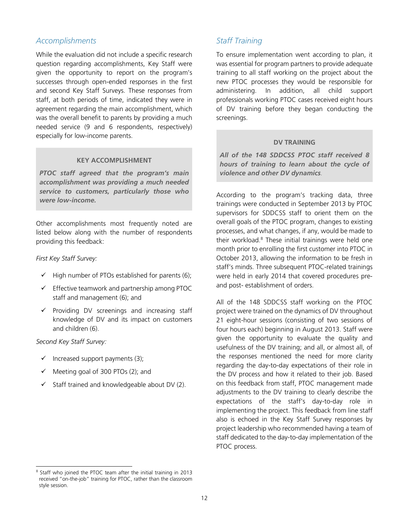#### *Accomplishments*

While the evaluation did not include a specific research question regarding accomplishments, Key Staff were given the opportunity to report on the program's successes through open-ended responses in the first and second Key Staff Surveys. These responses from staff, at both periods of time, indicated they were in agreement regarding the main accomplishment, which was the overall benefit to parents by providing a much needed service (9 and 6 respondents, respectively) especially for low-income parents.

#### **KEY ACCOMPLISHMENT**

*PTOC staff agreed that the program's main accomplishment was providing a much needed service to customers, particularly those who were low-income.*

Other accomplishments most frequently noted are listed below along with the number of respondents providing this feedback:

#### *First Key Staff Survey:*

- $\checkmark$  High number of PTOs established for parents (6);
- $\checkmark$  Effective teamwork and partnership among PTOC staff and management (6); and
- $\checkmark$  Providing DV screenings and increasing staff knowledge of DV and its impact on customers and children (6).

#### *Second Key Staff Survey:*

-

- $\checkmark$  Increased support payments (3);
- Meeting goal of 300 PTOs (2); and
- $\checkmark$  Staff trained and knowledgeable about DV (2).

#### *Staff Training*

To ensure implementation went according to plan, it was essential for program partners to provide adequate training to all staff working on the project about the new PTOC processes they would be responsible for administering. In addition, all child support professionals working PTOC cases received eight hours of DV training before they began conducting the screenings.

#### **DV TRAINING**

*All of the 148 SDDCSS PTOC staff received 8 hours of training to learn about the cycle of violence and other DV dynamics.* 

According to the program's tracking data, three trainings were conducted in September 2013 by PTOC supervisors for SDDCSS staff to orient them on the overall goals of the PTOC program, changes to existing processes, and what changes, if any, would be made to their workload.<sup>8</sup> These initial trainings were held one month prior to enrolling the first customer into PTOC in October 2013, allowing the information to be fresh in staff's minds. Three subsequent PTOC-related trainings were held in early 2014 that covered procedures preand post- establishment of orders.

All of the 148 SDDCSS staff working on the PTOC project were trained on the dynamics of DV throughout 21 eight-hour sessions (consisting of two sessions of four hours each) beginning in August 2013. Staff were given the opportunity to evaluate the quality and usefulness of the DV training; and all, or almost all, of the responses mentioned the need for more clarity regarding the day-to-day expectations of their role in the DV process and how it related to their job. Based on this feedback from staff, PTOC management made adjustments to the DV training to clearly describe the expectations of the staff's day-to-day role in implementing the project. This feedback from line staff also is echoed in the Key Staff Survey responses by project leadership who recommended having a team of staff dedicated to the day-to-day implementation of the PTOC process.

<sup>&</sup>lt;sup>8</sup> Staff who joined the PTOC team after the initial training in 2013 received "on-the-job" training for PTOC, rather than the classroom style session.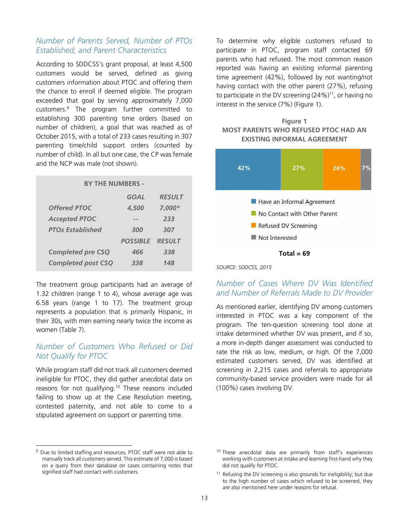### *Number of Parents Served, Number of PTOs Established, and Parent Characteristics*

According to SDDCSS's grant proposal, at least 4,500 customers would be served, defined as giving customers information about PTOC and offering them the chance to enroll if deemed eligible. The program exceeded that goal by serving approximately 7,000 customers.<sup>9</sup> The program further committed to establishing 300 parenting time orders (based on number of children), a goal that was reached as of October 2015, with a total of 233 cases resulting in 307 parenting time/child support orders (counted by number of child). In all but one case, the CP was female and the NCP was male (not shown).

| <b>BY THE NUMBERS -</b> |               |  |  |
|-------------------------|---------------|--|--|
| GOAL                    | <b>RESULT</b> |  |  |
| 4,500                   | $7.000*$      |  |  |
|                         | 233           |  |  |
| 300                     | 307           |  |  |
| <b>POSSIBI F</b>        | <b>RESULT</b> |  |  |
| 466                     | 338           |  |  |
| 338                     | 148           |  |  |
|                         |               |  |  |

The treatment group participants had an average of 1.32 children (range 1 to 4), whose average age was 6.58 years (range 1 to 17). The treatment group represents a population that is primarily Hispanic, in their 30s, with men earning nearly twice the income as women (Table 7).

### *Number of Customers Who Refused or Did Not Qualify for PTOC*

While program staff did not track all customers deemed ineligible for PTOC, they did gather anecdotal data on reasons for not qualifying.<sup>10</sup> These reasons included failing to show up at the Case Resolution meeting, contested paternity, and not able to come to a stipulated agreement on support or parenting time.

<sup>9</sup> Due to limited staffing and resources, PTOC staff were not able to manually track all customers served. This estimate of 7,000 is based on a query from their database on cases containing notes that signified staff had contact with customers.

-

To determine why eligible customers refused to participate in PTOC, program staff contacted 69 parents who had refused. The most common reason reported was having an existing informal parenting time agreement (42%), followed by not wanting/not having contact with the other parent (27%), refusing to participate in the DV screening (24%)<sup>11</sup>, or having no interest in the service (7%) (Figure 1).





*SOURCE: SDDCSS, 2015* 

### *Number of Cases Where DV Was Identified and Number of Referrals Made to DV Provider*

As mentioned earlier, identifying DV among customers interested in PTOC was a key component of the program. The ten-question screening tool done at intake determined whether DV was present, and if so, a more in-depth danger assessment was conducted to rate the risk as low, medium, or high. Of the 7,000 estimated customers served, DV was identified at screening in 2,215 cases and referrals to appropriate community-based service providers were made for all (100%) cases involving DV.

<sup>&</sup>lt;sup>10</sup> These anecdotal data are primarily from staff's experiences working with customers at intake and learning first-hand why they did not qualify for PTOC.

<sup>&</sup>lt;sup>11</sup> Refusing the DV screening is also grounds for ineligibility; but due to the high number of cases which refused to be screened, they are also mentioned here under reasons for refusal.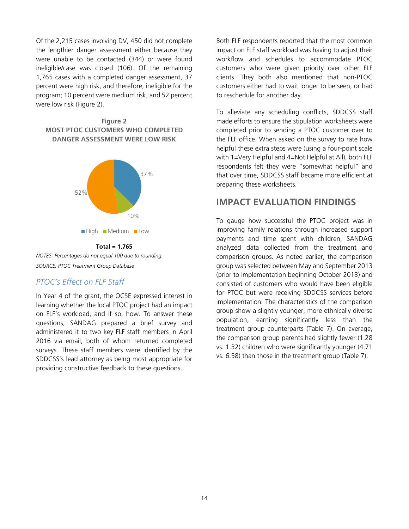Of the 2,215 cases involving DV, 450 did not complete the lengthier danger assessment either because they were unable to be contacted (344) or were found ineligible/case was closed (106). Of the remaining 1,765 cases with a completed danger assessment, 37 percent were high risk, and therefore, ineligible for the program; 10 percent were medium risk; and 52 percent were low risk (Figure 2).





**Total = 1,765**  *NOTES: Percentages do not equal 100 due to rounding. SOURCE: PTOC Treatment Group Database* 

### *PTOC's Effect on FLF Staff*

In Year 4 of the grant, the OCSE expressed interest in learning whether the local PTOC project had an impact on FLF's workload, and if so, how. To answer these questions, SANDAG prepared a brief survey and administered it to two key FLF staff members in April 2016 via email, both of whom returned completed surveys. These staff members were identified by the SDDCSS's lead attorney as being most appropriate for providing constructive feedback to these questions.

Both FLF respondents reported that the most common impact on FLF staff workload was having to adjust their workflow and schedules to accommodate PTOC customers who were given priority over other FLF clients. They both also mentioned that non-PTOC customers either had to wait longer to be seen, or had to reschedule for another day.

To alleviate any scheduling conflicts, SDDCSS staff made efforts to ensure the stipulation worksheets were completed prior to sending a PTOC customer over to the FLF office. When asked on the survey to rate how helpful these extra steps were (using a four-point scale with 1=Very Helpful and 4=Not Helpful at All), both FLF respondents felt they were "somewhat helpful" and that over time, SDDCSS staff became more efficient at preparing these worksheets.

### **IMPACT EVALUATION FINDINGS**

To gauge how successful the PTOC project was in improving family relations through increased support payments and time spent with children, SANDAG analyzed data collected from the treatment and comparison groups. As noted earlier, the comparison group was selected between May and September 2013 (prior to implementation beginning October 2013) and consisted of customers who would have been eligible for PTOC but were receiving SDDCSS services before implementation. The characteristics of the comparison group show a slightly younger, more ethnically diverse population, earning significantly less than the treatment group counterparts (Table 7). On average, the comparison group parents had slightly fewer (1.28 vs. 1.32) children who were significantly younger (4.71 vs. 6.58) than those in the treatment group (Table 7).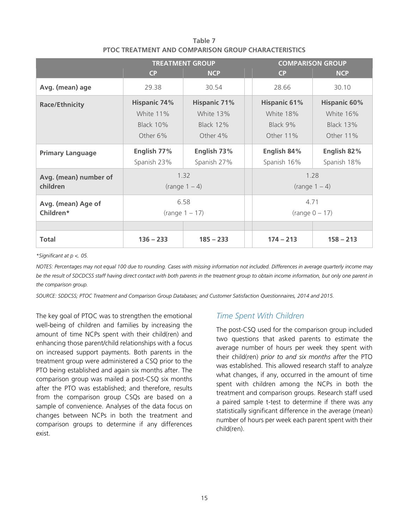|                                                           | <b>TREATMENT GROUP</b>                                           |                                                                  | <b>COMPARISON GROUP</b>                                   |                                                                   |  |
|-----------------------------------------------------------|------------------------------------------------------------------|------------------------------------------------------------------|-----------------------------------------------------------|-------------------------------------------------------------------|--|
|                                                           | CP                                                               | <b>NCP</b>                                                       | <b>CP</b>                                                 | <b>NCP</b>                                                        |  |
| Avg. (mean) age                                           | 29.38                                                            | 30.54                                                            | 28.66                                                     | 30.10                                                             |  |
| <b>Race/Ethnicity</b>                                     | <b>Hispanic 74%</b><br>White 11%<br><b>Black 10%</b><br>Other 6% | <b>Hispanic 71%</b><br>White 13%<br><b>Black 12%</b><br>Other 4% | <b>Hispanic 61%</b><br>White 18%<br>Black 9%<br>Other 11% | <b>Hispanic 60%</b><br>White 16%<br><b>Black 13%</b><br>Other 11% |  |
| <b>Primary Language</b>                                   | English 77%<br>Spanish 23%                                       | English 73%<br>Spanish 27%                                       | English 84%<br>Spanish 16%                                | English 82%<br>Spanish 18%                                        |  |
| Avg. (mean) number of<br>children                         | 1.32<br>(range 1 – 4)                                            |                                                                  | 1.28<br>$(range 1 - 4)$                                   |                                                                   |  |
| 6.58<br>Avg. (mean) Age of<br>Children*<br>(range 1 – 17) |                                                                  | 4.71                                                             | (range 0 – 17)                                            |                                                                   |  |
|                                                           |                                                                  |                                                                  |                                                           |                                                                   |  |
| <b>Total</b>                                              | $136 - 233$                                                      | $185 - 233$                                                      | $174 - 213$                                               | $158 - 213$                                                       |  |

**Table 7 PTOC TREATMENT AND COMPARISON GROUP CHARACTERISTICS**

*\*Significant at p <. 05.* 

*NOTES: Percentages may not equal 100 due to rounding. Cases with missing information not included. Differences in average quarterly income may*  be the result of SDCDCSS staff having direct contact with both parents in the treatment group to obtain income information, but only one parent in *the comparison group.* 

*SOURCE: SDDCSS; PTOC Treatment and Comparison Group Databases; and Customer Satisfaction Questionnaires, 2014 and 2015.* 

The key goal of PTOC was to strengthen the emotional well-being of children and families by increasing the amount of time NCPs spent with their child(ren) and enhancing those parent/child relationships with a focus on increased support payments. Both parents in the treatment group were administered a CSQ prior to the PTO being established and again six months after. The comparison group was mailed a post-CSQ six months after the PTO was established; and therefore, results from the comparison group CSQs are based on a sample of convenience. Analyses of the data focus on changes between NCPs in both the treatment and comparison groups to determine if any differences exist.

#### *Time Spent With Children*

The post-CSQ used for the comparison group included two questions that asked parents to estimate the average number of hours per week they spent with their child(ren) *prior to and six months after* the PTO was established. This allowed research staff to analyze what changes, if any, occurred in the amount of time spent with children among the NCPs in both the treatment and comparison groups. Research staff used a paired sample t-test to determine if there was any statistically significant difference in the average (mean) number of hours per week each parent spent with their child(ren).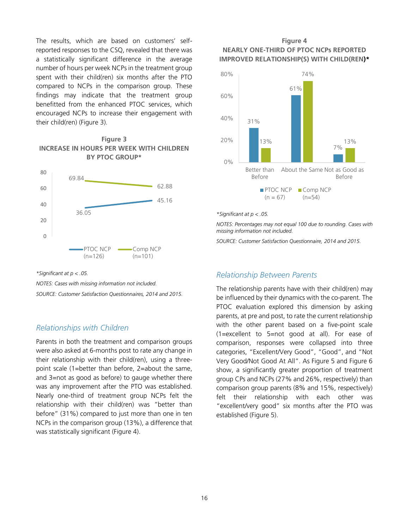The results, which are based on customers' selfreported responses to the CSQ, revealed that there was a statistically significant difference in the average number of hours per week NCPs in the treatment group spent with their child(ren) six months after the PTO compared to NCPs in the comparison group. These findings may indicate that the treatment group benefitted from the enhanced PTOC services, which encouraged NCPs to increase their engagement with their child(ren) (Figure 3).

#### **Figure 3 INCREASE IN HOURS PER WEEK WITH CHILDREN BY PTOC GROUP\***



#### *\*Significant at p < .05.*

*NOTES: Cases with missing information not included. SOURCE: Customer Satisfaction Questionnaires, 2014 and 2015.* 

#### *Relationships with Children*

Parents in both the treatment and comparison groups were also asked at 6-months post to rate any change in their relationship with their child(ren), using a threepoint scale (1=better than before, 2=about the same, and 3=not as good as before) to gauge whether there was any improvement after the PTO was established. Nearly one-third of treatment group NCPs felt the relationship with their child(ren) was "better than before" (31%) compared to just more than one in ten NCPs in the comparison group (13%), a difference that was statistically significant (Figure 4).

#### **Figure 4 NEARLY ONE-THIRD OF PTOC NCPs REPORTED IMPROVED RELATIONSHIP(S) WITH CHILD(REN)\***



#### *\*Significant at p < .05.*

*NOTES: Percentages may not equal 100 due to rounding. Cases with missing information not included.* 

*SOURCE: Customer Satisfaction Questionnaire, 2014 and 2015.* 

#### *Relationship Between Parents*

The relationship parents have with their child(ren) may be influenced by their dynamics with the co-parent. The PTOC evaluation explored this dimension by asking parents, at pre and post, to rate the current relationship with the other parent based on a five-point scale (1=excellent to 5=not good at all). For ease of comparison, responses were collapsed into three categories, "Excellent/Very Good", "Good", and "Not Very Good/Not Good At All". As Figure 5 and Figure 6 show, a significantly greater proportion of treatment group CPs and NCPs (27% and 26%, respectively) than comparison group parents (8% and 15%, respectively) felt their relationship with each other was "excellent/very good" six months after the PTO was established (Figure 5).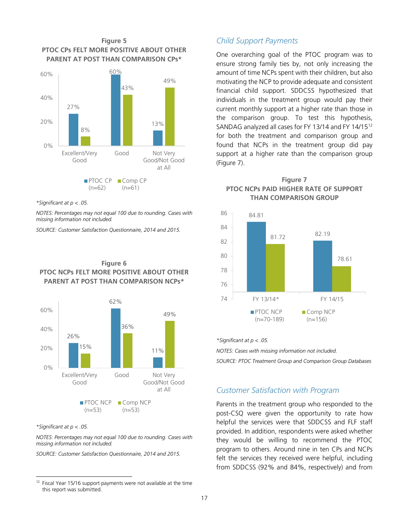

*\*Significant at p < .05.* 

*NOTES: Percentages may not equal 100 due to rounding. Cases with missing information not included.* 

*SOURCE: Customer Satisfaction Questionnaire, 2014 and 2015.* 



#### **Figure 6 PTOC NCPs FELT MORE POSITIVE ABOUT OTHER PARENT AT POST THAN COMPARISON NCPs\***

#### *\*Significant at p < .05.*

-

*NOTES: Percentages may not equal 100 due to rounding. Cases with missing information not included.* 

*SOURCE: Customer Satisfaction Questionnaire, 2014 and 2015.*

#### *Child Support Payments*

One overarching goal of the PTOC program was to ensure strong family ties by, not only increasing the amount of time NCPs spent with their children, but also motivating the NCP to provide adequate and consistent financial child support. SDDCSS hypothesized that individuals in the treatment group would pay their current monthly support at a higher rate than those in the comparison group. To test this hypothesis, SANDAG analyzed all cases for FY 13/14 and FY 14/15<sup>12</sup> for both the treatment and comparison group and found that NCPs in the treatment group did pay support at a higher rate than the comparison group (Figure 7).





*\*Significant at p < .05.* 

*NOTES: Cases with missing information not included.*

*SOURCE: PTOC Treatment Group and Comparison Group Databases* 

#### *Customer Satisfaction with Program*

Parents in the treatment group who responded to the post-CSQ were given the opportunity to rate how helpful the services were that SDDCSS and FLF staff provided. In addition, respondents were asked whether they would be willing to recommend the PTOC program to others. Around nine in ten CPs and NCPs felt the services they received were helpful, including from SDDCSS (92% and 84%, respectively) and from

 $12$  Fiscal Year 15/16 support payments were not available at the time this report was submitted.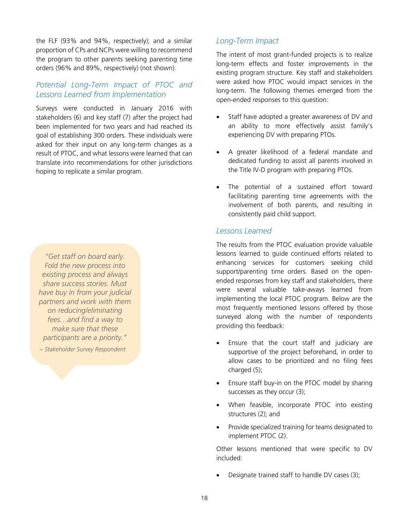the FLF (93% and 94%, respectively); and a similar proportion of CPs and NCPs were willing to recommend the program to other parents seeking parenting time orders (96% and 89%, respectively) (not shown).

#### *Potential Long-Term Impact of PTOC and Lessons Learned from Implementation*

Surveys were conducted in January 2016 with stakeholders (6) and key staff (7) after the project had been implemented for two years and had reached its goal of establishing 300 orders. These individuals were asked for their input on any long-term changes as a result of PTOC, and what lessons were learned that can translate into recommendations for other jurisdictions hoping to replicate a similar program.

*"Get staff on board early. Fold the new process into existing process and always share success stories. Must have buy in from your judicial partners and work with them on reducing/eliminating fees…and find a way to make sure that these participants are a priority."*

*~ Stakeholder Survey Respondent*

### *Long-Term Impact*

The intent of most grant-funded projects is to realize long-term effects and foster improvements in the existing program structure. Key staff and stakeholders were asked how PTOC would impact services in the long-term. The following themes emerged from the open-ended responses to this question:

- Staff have adopted a greater awareness of DV and an ability to more effectively assist family's experiencing DV with preparing PTOs.
- A greater likelihood of a federal mandate and dedicated funding to assist all parents involved in the Title IV-D program with preparing PTOs.
- The potential of a sustained effort toward facilitating parenting time agreements with the involvement of both parents, and resulting in consistently paid child support.

#### *Lessons Learned*

The results from the PTOC evaluation provide valuable lessons learned to guide continued efforts related to enhancing services for customers seeking child support/parenting time orders. Based on the openended responses from key staff and stakeholders, there were several valuable take-aways learned from implementing the local PTOC program. Below are the most frequently mentioned lessons offered by those surveyed along with the number of respondents providing this feedback:

- Ensure that the court staff and judiciary are supportive of the project beforehand, in order to allow cases to be prioritized and no filing fees charged (5);
- Ensure staff buy-in on the PTOC model by sharing successes as they occur (3);
- When feasible, incorporate PTOC into existing structures (2); and
- Provide specialized training for teams designated to implement PTOC (2).

Other lessons mentioned that were specific to DV included:

• Designate trained staff to handle DV cases (3);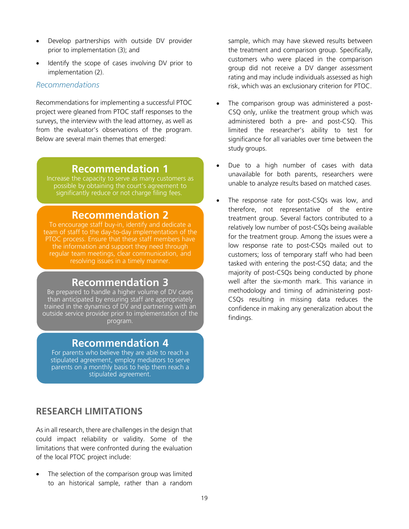- Develop partnerships with outside DV provider prior to implementation (3); and
- Identify the scope of cases involving DV prior to implementation (2).

#### *Recommendations*

Recommendations for implementing a successful PTOC project were gleaned from PTOC staff responses to the surveys, the interview with the lead attorney, as well as from the evaluator's observations of the program. Below are several main themes that emerged:

## **Recommendation 1**

Increase the capacity to serve as many customers as possible by obtaining the court's agreement to significantly reduce or not charge filing fees.

## **Recommendation 2**

To encourage staff buy-in, identify and dedicate a team of staff to the day-to-day implementation of the PTOC process. Ensure that these staff members have the information and support they need through regular team meetings, clear communication, and resolving issues in a timely manner.

## **Recommendation 3**

Be prepared to handle a higher volume of DV cases than anticipated by ensuring staff are appropriately trained in the dynamics of DV and partnering with an outside service provider prior to implementation of the program.

## **Recommendation 4**

For parents who believe they are able to reach a stipulated agreement, employ mediators to serve parents on a monthly basis to help them reach a stipulated agreement.

## **RESEARCH LIMITATIONS**

As in all research, there are challenges in the design that could impact reliability or validity. Some of the limitations that were confronted during the evaluation of the local PTOC project include:

The selection of the comparison group was limited to an historical sample, rather than a random sample, which may have skewed results between the treatment and comparison group. Specifically, customers who were placed in the comparison group did not receive a DV danger assessment rating and may include individuals assessed as high risk, which was an exclusionary criterion for PTOC.

- The comparison group was administered a post-CSQ only, unlike the treatment group which was administered both a pre- and post-CSQ. This limited the researcher's ability to test for significance for all variables over time between the study groups.
- Due to a high number of cases with data unavailable for both parents, researchers were unable to analyze results based on matched cases.
- The response rate for post-CSQs was low, and therefore, not representative of the entire treatment group. Several factors contributed to a relatively low number of post-CSQs being available for the treatment group. Among the issues were a low response rate to post-CSQs mailed out to customers; loss of temporary staff who had been tasked with entering the post-CSQ data; and the majority of post-CSQs being conducted by phone well after the six-month mark. This variance in methodology and timing of administering post-CSQs resulting in missing data reduces the confidence in making any generalization about the findings.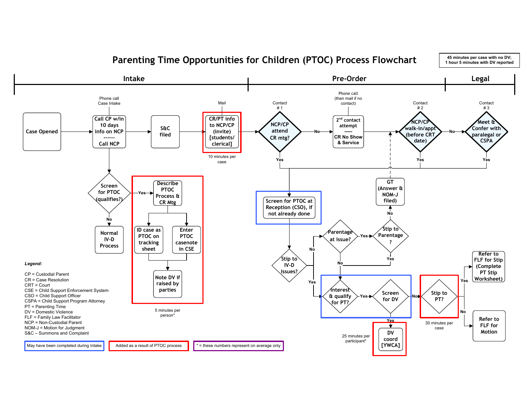

**Parenting Time Opportunities for Children (PTOC) Process Flowchart**

**45 minutes per case with no DV;**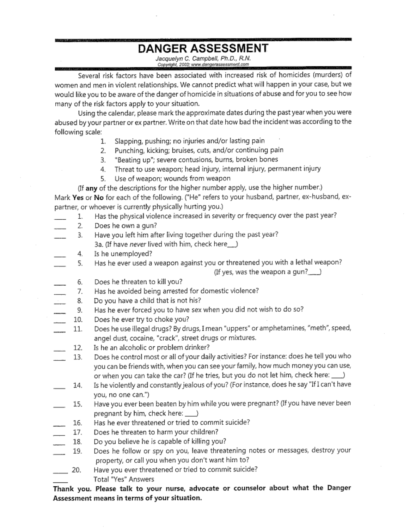# **DANGER ASSESSMENT**

Jacquelyn C. Campbell, Ph.D., R.N. Copyright, 2003; www.dangerassessment.com

Several risk factors have been associated with increased risk of homicides (murders) of women and men in violent relationships. We cannot predict what will happen in your case, but we would like you to be aware of the danger of homicide in situations of abuse and for you to see how many of the risk factors apply to your situation.

Using the calendar, please mark the approximate dates during the past year when you were abused by your partner or ex partner. Write on that date how bad the incident was according to the following scale:

- Slapping, pushing; no injuries and/or lasting pain  $\mathbf{1}$ .
- 2. Punching, kicking; bruises, cuts, and/or continuing pain
- 3. "Beating up"; severe contusions, burns, broken bones
- Threat to use weapon; head injury, internal injury, permanent injury 4.
- Use of weapon; wounds from weapon 5.

(If any of the descriptions for the higher number apply, use the higher number.) Mark Yes or No for each of the following. ("He" refers to your husband, partner, ex-husband, expartner, or whoever is currently physically hurting you.)

- Has the physical violence increased in severity or frequency over the past year? 1.
- $2.$ Does he own a gun?
- 3. Have you left him after living together during the past year? 3a. (If have never lived with him, check here.........)
- 4. Is he unemployed?
- Has he ever used a weapon against you or threatened you with a lethal weapon? 5.

- 6. Does he threaten to kill you?
- Has he avoided being arrested for domestic violence? 7.
- 8. Do you have a child that is not his?
- Has he ever forced you to have sex when you did not wish to do so? 9.
- Does he ever try to choke you? 10.
- Does he use illegal drugs? By drugs, I mean "uppers" or amphetamines, "meth", speed, 11. angel dust, cocaine, "crack", street drugs or mixtures.
- Is he an alcoholic or problem drinker? 12.
- Does he control most or all of your daily activities? For instance: does he tell you who 13. you can be friends with, when you can see your family, how much money you can use, or when you can take the car? (If he tries, but you do not let him, check here: \_\_\_)
- Is he violently and constantly jealous of you? (For instance, does he say "If I can't have 14. you, no one can.")
- Have you ever been beaten by him while you were pregnant? (If you have never been 15. pregnant by him, check here: \_\_\_\_\_)
- Has he ever threatened or tried to commit suicide? 16.
- Does he threaten to harm your children? 17.
- Do you believe he is capable of killing you? 18.
- Does he follow or spy on you, leave threatening notes or messages, destroy your 19. property, or call you when you don't want him to?
- Have you ever threatened or tried to commit suicide? 20. Total "Yes" Answers

Thank you. Please talk to your nurse, advocate or counselor about what the Danger Assessment means in terms of your situation.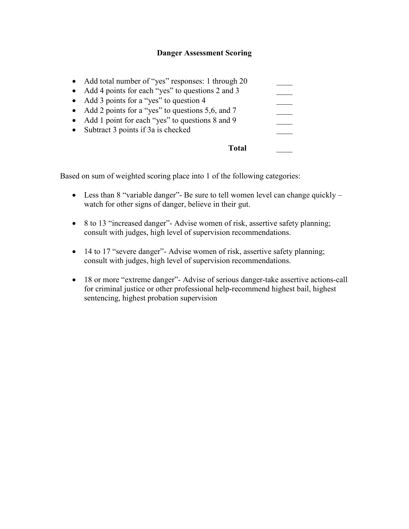#### **Danger Assessment Scoring**

|           | • Subtract 3 points if $3a$ is checked<br>Total'                                                          |  |
|-----------|-----------------------------------------------------------------------------------------------------------|--|
| $\bullet$ | • Add 2 points for a "yes" to questions 5,6, and 7<br>Add 1 point for each "yes" to questions 8 and 9     |  |
|           | • Add 3 points for a "yes" to question 4                                                                  |  |
|           | • Add total number of "yes" responses: 1 through 20<br>• Add 4 points for each "yes" to questions 2 and 3 |  |

Based on sum of weighted scoring place into 1 of the following categories:

- Less than 8 "variable danger"- Be sure to tell women level can change quickly  $$ watch for other signs of danger, believe in their gut.
- 8 to 13 "increased danger"- Advise women of risk, assertive safety planning; consult with judges, high level of supervision recommendations.
- 14 to 17 "severe danger"- Advise women of risk, assertive safety planning; consult with judges, high level of supervision recommendations.
- 18 or more "extreme danger"- Advise of serious danger-take assertive actions-call for criminal justice or other professional help-recommend highest bail, highest sentencing, highest probation supervision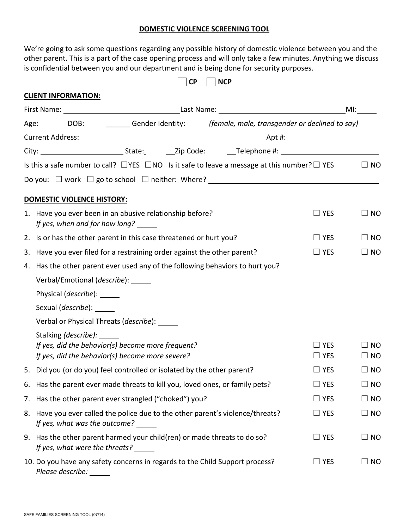#### **DOMESTIC VIOLENCE SCREENING TOOL**

We're going to ask some questions regarding any possible history of domestic violence between you and the other parent. This is a part of the case opening process and will only take a few minutes. Anything we discuss is confidential between you and our department and is being done for security purposes.

|    | <b>CP</b><br><b>NCP</b>                                                                                                             |                          |                 |  |  |
|----|-------------------------------------------------------------------------------------------------------------------------------------|--------------------------|-----------------|--|--|
|    | <b>CLIENT INFORMATION:</b>                                                                                                          |                          |                 |  |  |
|    |                                                                                                                                     |                          | MI:             |  |  |
|    | Age: ________ DOB: ______________ Gender Identity: ______ (female, male, transgender or declined to say)                            |                          |                 |  |  |
|    | <b>Current Address:</b>                                                                                                             |                          |                 |  |  |
|    |                                                                                                                                     |                          |                 |  |  |
|    | Is this a safe number to call? $\Box$ YES $\Box$ NO Is it safe to leave a message at this number? $\Box$ YES                        |                          | $\square$ NO    |  |  |
|    |                                                                                                                                     |                          |                 |  |  |
|    | <b>DOMESTIC VIOLENCE HISTORY:</b>                                                                                                   |                          |                 |  |  |
|    | 1. Have you ever been in an abusive relationship before?<br>If yes, when and for how long? _____                                    | $\square$ YES            | $\square$ NO    |  |  |
|    | 2. Is or has the other parent in this case threatened or hurt you?                                                                  | $\Box$ YES               | $\square$ NO    |  |  |
| 3. | Have you ever filed for a restraining order against the other parent?                                                               | $\square$ YES            | $\Box$ No       |  |  |
| 4. | Has the other parent ever used any of the following behaviors to hurt you?                                                          |                          |                 |  |  |
|    | Verbal/Emotional (describe): _____                                                                                                  |                          |                 |  |  |
|    | Physical ( <i>describe</i> ): ______                                                                                                |                          |                 |  |  |
|    | Sexual ( <i>describe</i> ): ______                                                                                                  |                          |                 |  |  |
|    | Verbal or Physical Threats (describe): _____                                                                                        |                          |                 |  |  |
|    | Stalking (describe): ______<br>If yes, did the behavior(s) become more frequent?<br>If yes, did the behavior(s) become more severe? | $\Box$ YES<br><b>YES</b> | NO<br>$\Box$ No |  |  |
|    | 5. Did you (or do you) feel controlled or isolated by the other parent?                                                             | $\Box$ Yes               | $\square$ NO    |  |  |
|    | 6. Has the parent ever made threats to kill you, loved ones, or family pets?                                                        | $\square$ YES            | $\square$ NO    |  |  |
| 7. | Has the other parent ever strangled ("choked") you?                                                                                 | $\Box$ YES               | $\square$ NO    |  |  |
| 8. | Have you ever called the police due to the other parent's violence/threats?<br>If yes, what was the outcome?                        | $\Box$ YES               | $\square$ NO    |  |  |
| 9. | Has the other parent harmed your child(ren) or made threats to do so?<br>If yes, what were the threats? ______                      | $\Box$ YES               | $\Box$ NO       |  |  |
|    | 10. Do you have any safety concerns in regards to the Child Support process?<br>Please describe:                                    | $\square$ YES            | $\Box$ No       |  |  |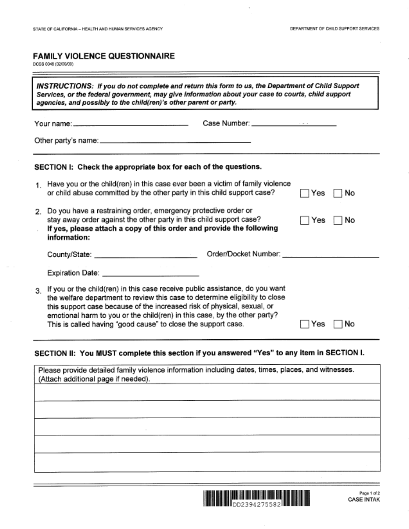## **FAMILY VIOLENCE QUESTIONNAIRE**

DCSS 0048 (02/09/09)

| INSTRUCTIONS: If you do not complete and return this form to us, the Department of Child Support<br>Services, or the federal government, may give information about your case to courts, child support<br>agencies, and possibly to the child(ren)'s other parent or party. |                                                                                                                                                                                                                                                                                                                                                                                       |     |    |  |
|-----------------------------------------------------------------------------------------------------------------------------------------------------------------------------------------------------------------------------------------------------------------------------|---------------------------------------------------------------------------------------------------------------------------------------------------------------------------------------------------------------------------------------------------------------------------------------------------------------------------------------------------------------------------------------|-----|----|--|
|                                                                                                                                                                                                                                                                             | Case Number: ______________________                                                                                                                                                                                                                                                                                                                                                   |     |    |  |
|                                                                                                                                                                                                                                                                             | SECTION I: Check the appropriate box for each of the questions.                                                                                                                                                                                                                                                                                                                       |     |    |  |
|                                                                                                                                                                                                                                                                             | 1. Have you or the child(ren) in this case ever been a victim of family violence<br>or child abuse committed by the other party in this child support case?                                                                                                                                                                                                                           | Yes | No |  |
| $2^{\circ}$                                                                                                                                                                                                                                                                 | Do you have a restraining order, emergency protective order or<br>stay away order against the other party in this child support case?<br>If yes, please attach a copy of this order and provide the following<br>information:                                                                                                                                                         | Yes | No |  |
|                                                                                                                                                                                                                                                                             |                                                                                                                                                                                                                                                                                                                                                                                       |     |    |  |
|                                                                                                                                                                                                                                                                             |                                                                                                                                                                                                                                                                                                                                                                                       |     |    |  |
| 3.                                                                                                                                                                                                                                                                          | If you or the child(ren) in this case receive public assistance, do you want<br>the welfare department to review this case to determine eligibility to close<br>this support case because of the increased risk of physical, sexual, or<br>emotional harm to you or the child(ren) in this case, by the other party?<br>This is called having "good cause" to close the support case. |     | No |  |

## SECTION II: You MUST complete this section if you answered "Yes" to any item in SECTION I.

| Please provide detailed family violence information including dates, times, places, and witnesses.<br>(Attach additional page if needed). |  |  |  |  |
|-------------------------------------------------------------------------------------------------------------------------------------------|--|--|--|--|
|                                                                                                                                           |  |  |  |  |
|                                                                                                                                           |  |  |  |  |
|                                                                                                                                           |  |  |  |  |
|                                                                                                                                           |  |  |  |  |
|                                                                                                                                           |  |  |  |  |